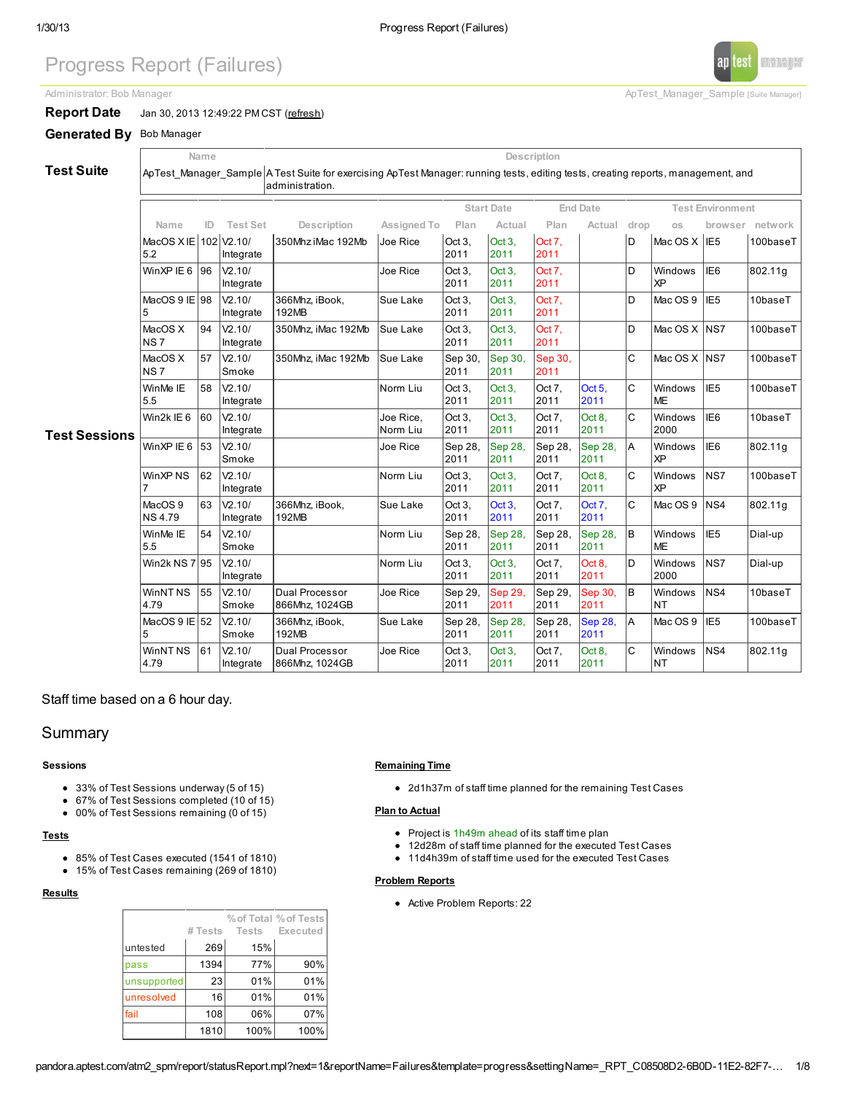# Progress Report (Failures)

Administrator: Bob Manager **ApTest\_Manager** Sample [Suite Manager]



Generated By Bob Manager

Test Suite

ApTest\_Manager\_Sample A Test Suite for exercising ApTest Manager: running tests, editing tests, creating reports, management, and administration.

Name Description

|                      |                                     |     |                                  |                                  |                       |                 | <b>Start Date</b> |                 | <b>End Date</b> |              |                       | <b>Test Environment</b> |               |  |  |
|----------------------|-------------------------------------|-----|----------------------------------|----------------------------------|-----------------------|-----------------|-------------------|-----------------|-----------------|--------------|-----------------------|-------------------------|---------------|--|--|
|                      | Name                                | ID. | <b>Test Set</b>                  | Description                      | Assigned To           | Plan            | Actual            | Plan            | Actual          | drop         | <b>OS</b>             | browser                 | network       |  |  |
|                      | MacOS XIE 102 V2.10/<br>5.2         |     | Integrate                        | 350Mhz iMac 192Mb                | Joe Rice              | Oct 3.<br>2011  | Oct 3.<br>2011    | Oct 7.<br>2011  |                 | D            | Mac OS X   IE5        |                         | 100baseT      |  |  |
|                      | WinXP IE 6                          | 96  | V2.10/<br>Integrate              |                                  | Joe Rice              | Oct 3,<br>2011  | Oct 3,<br>2011    | Oct 7.<br>2011  |                 | D            | Windows<br> xP        | IE <sub>6</sub>         | 802.11g       |  |  |
|                      | MacOS 9 IE 98                       |     | V2.10/<br>Integrate              | 366Mhz, iBook,<br>192MB          | Sue Lake              | Oct 3,<br>2011  | Oct 3,<br>2011    | Oct 7.<br>2011  |                 | D            | Mac OS 9              | I <sub>IE5</sub>        | 10baseT       |  |  |
|                      | MacOS X<br><b>NS7</b>               | 94  | V2.10/<br>Integrate              | 350Mhz, iMac 192Mb               | Sue Lake              | Oct 3,<br>2011  | Oct 3,<br>2011    | Oct 7.<br>2011  |                 | D            | Mac OS X NS7          |                         | 100baseT      |  |  |
|                      | MacOS X<br>INS 7                    | 57  | V2.10/<br>Smoke                  | 350Mhz, iMac 192Mb               | Sue Lake              | Sep 30,<br>2011 | Sep 30,<br>2011   | Sep 30,<br>2011 |                 | $\mathsf{C}$ | Mac OS X NS7          |                         | 100baseT      |  |  |
|                      | WinMe IE<br>5.5                     | 58  | V2.10/<br>Integrate              |                                  | Norm Liu              | Oct 3.<br>2011  | Oct 3.<br>2011    | Oct 7.<br>2011  | Oct 5.<br>2011  | $\mathbf C$  | Windows<br><b>IME</b> | IE <sub>5</sub>         | 100baseT      |  |  |
| <b>Test Sessions</b> | Win2k IE 6                          | 60  | V <sub>2.10</sub> /<br>Integrate |                                  | Joe Rice,<br>Norm Liu | Oct 3,<br>2011  | Oct 3,<br>2011    | Oct 7.<br>2011  | Oct 8,<br>2011  | lc.          | Windows<br>2000       | IE <sub>6</sub>         | $10$ base $T$ |  |  |
|                      | WinXP IE 6                          | 53  | V2.10/<br>Smoke                  |                                  | Joe Rice              | Sep 28.<br>2011 | Sep 28,<br>2011   | Sep 28,<br>2011 | Sep 28,<br>2011 | A            | Windows<br>  XP       | IE <sub>6</sub>         | 802.11g       |  |  |
|                      | WinXP NS                            | 62  | V2.10/<br>Integrate              |                                  | Norm Liu              | Oct 3.<br>2011  | Oct 3.<br>2011    | Oct 7.<br>2011  | Oct 8,<br>2011  | $\mathsf{C}$ | Windows<br><b>XP</b>  | lns7                    | 100baseT      |  |  |
|                      | MacOS <sub>9</sub><br><b>NS4.79</b> | 63  | V2.10/<br>Integrate              | 366Mhz, iBook,<br>192MB          | Sue Lake              | Oct 3,<br>2011  | Oct 3.<br>2011    | Oct 7.<br>2011  | Oct 7.<br>2011  | $\mathbf C$  | Mac OS 9              | NS4                     | 802.11g       |  |  |
|                      | WinMe IE<br>5.5                     | 54  | V2.10/<br>Smoke                  |                                  | Norm Liu              | Sep 28.<br>2011 | Sep 28,<br>2011   | Sep 28,<br>2011 | Sep 28,<br>2011 | lв           | Windows<br><b>IME</b> | IE <sub>5</sub>         | Dial-up       |  |  |
|                      | Win2k NS 7195                       |     | V2.10/<br>Integrate              |                                  | Norm Liu              | Oct 3,<br>2011  | Oct 3,<br>2011    | Oct 7,<br>2011  | Oct 8,<br>2011  | lD.          | Windows<br>2000       | <b>NS7</b>              | Dial-up       |  |  |
|                      | WinNT <sub>NS</sub><br>4.79         | 55  | V2.10/<br>Smoke                  | Dual Processor<br>866Mhz, 1024GB | Joe Rice              | Sep 29,<br>2011 | Sep 29,<br>2011   | Sep 29,<br>2011 | Sep 30,<br>2011 | B            | Windows<br>Int        | NS4                     | $10$ base $T$ |  |  |
|                      | MacOS $9$ IE $152$                  |     | V2.10/<br>Smoke                  | 366Mhz, iBook,<br>192MB          | Sue Lake              | Sep 28,<br>2011 | Sep 28,<br>2011   | Sep 28,<br>2011 | Sep 28,<br>2011 | A            | Mac OS 9              | IE <sub>5</sub>         | 100baseT      |  |  |
|                      | WinNT <sub>NS</sub><br>4.79         | 61  | V2.10/<br>Integrate              | Dual Processor<br>866Mhz, 1024GB | Joe Rice              | Oct 3,<br>2011  | Oct 3.<br>2011    | Oct 7.<br>2011  | Oct 8,<br>2011  | $\mathbf C$  | Windows<br>INT        | NS4                     | 802.11g       |  |  |

Staff time based on a 6 hour day.

## Summary

#### Sessions

- 33% of Test Sessions underway (5 of 15)
- 67% of Test Sessions completed (10 of 15)
- 00% of Test Sessions remaining (0 of 15)

## **Tests**

- 85% of Test Cases executed (1541 of 1810)
- 15% of Test Cases remaining (269 of 1810)

#### **Results**

|             | # Tests | Tests | % of Total % of Tests<br>Executed |
|-------------|---------|-------|-----------------------------------|
| untested    | 269     | 15%   |                                   |
| pass        | 1394    | 77%   | 90%                               |
| unsupported | 23      | 01%   | 01%                               |
| unresolved  | 16      | 01%   | 01%                               |
| fail        | 108     | 06%   | 07%                               |
|             | 1810    | 100%  | 100%                              |

#### Remaining Time

2d1h37m of staff time planned for the remaining Test Cases

## Plan to Actual

- Project is 1h49m ahead of its staff time plan
- 12d28m of staff time planned for the executed Test Cases
- 11d4h39m of staff time used for the executed Test Cases

#### Problem Reports

Active Problem Reports: 22



manager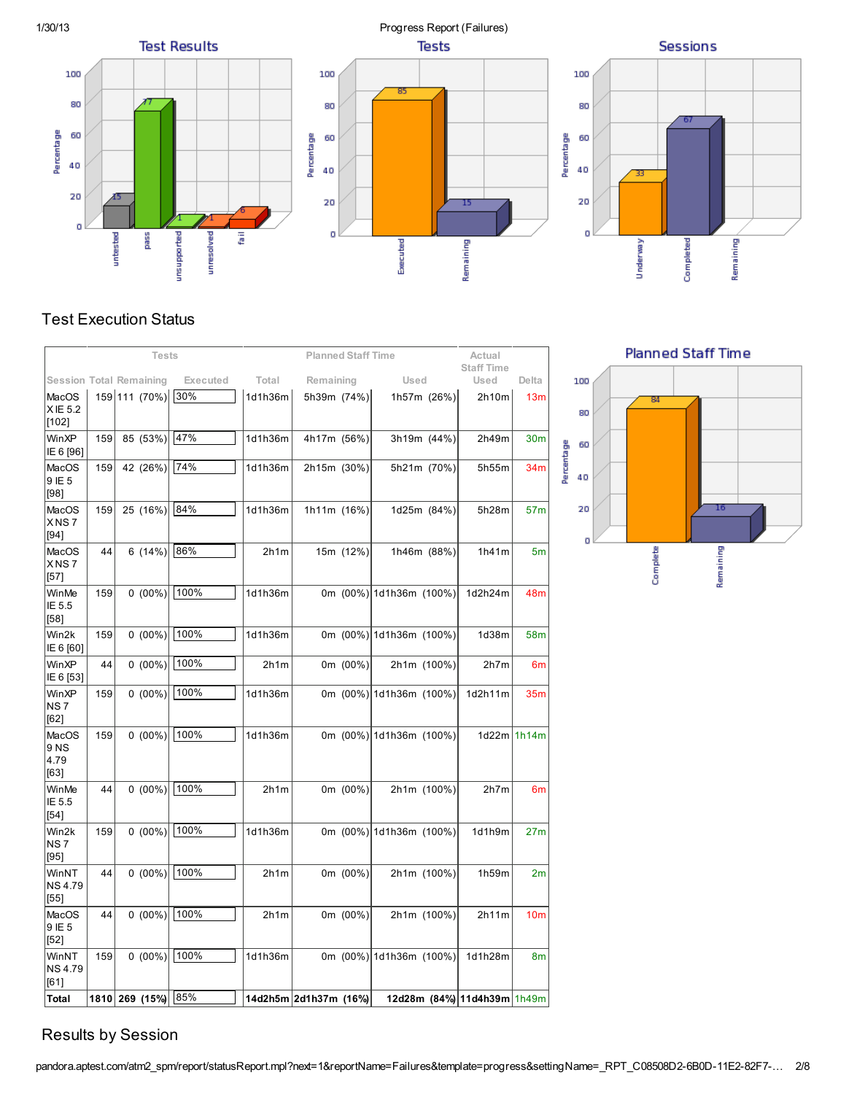

# Test Execution Status

|                                  | <b>Tests</b> |  |                |          |         | <b>Planned Staff Time</b> |             |                         |             | Actual                      |                 |
|----------------------------------|--------------|--|----------------|----------|---------|---------------------------|-------------|-------------------------|-------------|-----------------------------|-----------------|
| <b>Session Total Remaining</b>   |              |  |                | Executed | Total   | Remaining                 |             | Used                    |             | <b>Staff Time</b><br>Used   | Delta           |
| MacOS<br>XIE 5.2<br>$[102]$      |              |  | 159 111 (70%)  | 30%      | 1d1h36m | 5h39m (74%)               |             |                         | 1h57m (26%) | 2h10m                       | 13 <sub>m</sub> |
| WinXP<br>IE 6 [96]               | 159          |  | 85 (53%)       | 47%      | 1d1h36m | 4h17m (56%)               |             |                         | 3h19m (44%) | 2h49m                       | 30 <sub>m</sub> |
| MacOS<br>9 IE 5<br>[98]          | 159          |  | 42 (26%)       | 74%      | 1d1h36m | 2h15m (30%)               |             |                         | 5h21m (70%) | 5h55m                       | 34m             |
| MacOS<br>XNS7<br>[94]            | 159          |  | 25 (16%)       | 84%      | 1d1h36m | 1h11m (16%)               |             |                         | 1d25m (84%) | 5h28m                       | 57 <sub>m</sub> |
| MacOS<br>XNS7<br>[57]            | 44           |  | 6(14%)         | 86%      | 2h1m    |                           | 15m (12%)   |                         | 1h46m (88%) | 1h41m                       | 5 <sub>m</sub>  |
| WinMe<br>IE 5.5<br>[58]          | 159          |  | $0(00\%)$      | 100%     | 1d1h36m |                           |             | 0m (00%) 1d1h36m (100%) |             | 1d2h24m                     | 48m             |
| Win2k<br>IE 6 [60]               | 159          |  | $0(00\%)$      | 100%     | 1d1h36m |                           |             | 0m (00%) 1d1h36m (100%) |             | 1d38m                       | 58m             |
| WinXP<br>IE 6 [53]               | 44           |  | $0(00\%)$      | 100%     | 2h1m    |                           | 0m $(00\%)$ |                         | 2h1m (100%) | 2h7m                        | 6m              |
| WinXP<br>NS <sub>7</sub><br>[62] | 159          |  | $0(00\%)$      | 100%     | 1d1h36m |                           |             | 0m (00%) 1d1h36m (100%) |             | 1d2h11m                     | 35m             |
| MacOS<br>9 NS<br>4.79<br>[63]    | 159          |  | $0(00\%)$      | 100%     | 1d1h36m |                           |             | 0m (00%) 1d1h36m (100%) |             | $1d22m$ 1h14m               |                 |
| WinMe<br>IE 5.5<br>[54]          | 44           |  | $0(00\%)$      | 100%     | 2h1m    |                           | 0m (00%)    |                         | 2h1m (100%) | 2h7m                        | 6m              |
| Win2k<br>NS <sub>7</sub><br>[95] | 159          |  | $0(00\%)$      | 100%     | 1d1h36m |                           |             | 0m (00%) 1d1h36m (100%) |             | 1d1h9m                      | 27 <sub>m</sub> |
| WinNT<br><b>NS4.79</b><br>[55]   | 44           |  | $0(00\%)$      | 100%     | 2h1m    |                           | 0m (00%)    |                         | 2h1m (100%) | 1h59m                       | 2m              |
| <b>MacOS</b><br>9 IE 5<br>[52]   | 44           |  | $0(00\%)$      | 100%     | 2h1m    |                           | 0m (00%)    |                         | 2h1m (100%) | 2h11m                       | 10 <sub>m</sub> |
| WinNT<br><b>NS4.79</b><br>[61]   | 159          |  | $0(00\%)$      | 100%     | 1d1h36m |                           |             | 0m (00%) 1d1h36m (100%) |             | 1d1h28m                     | 8m              |
| Total                            |              |  | 1810 269 (15%) | 85%      |         | 14d2h5m 2d1h37m (16%)     |             |                         |             | 12d28m (84%) 11d4h39m 1h49m |                 |





# Results by Session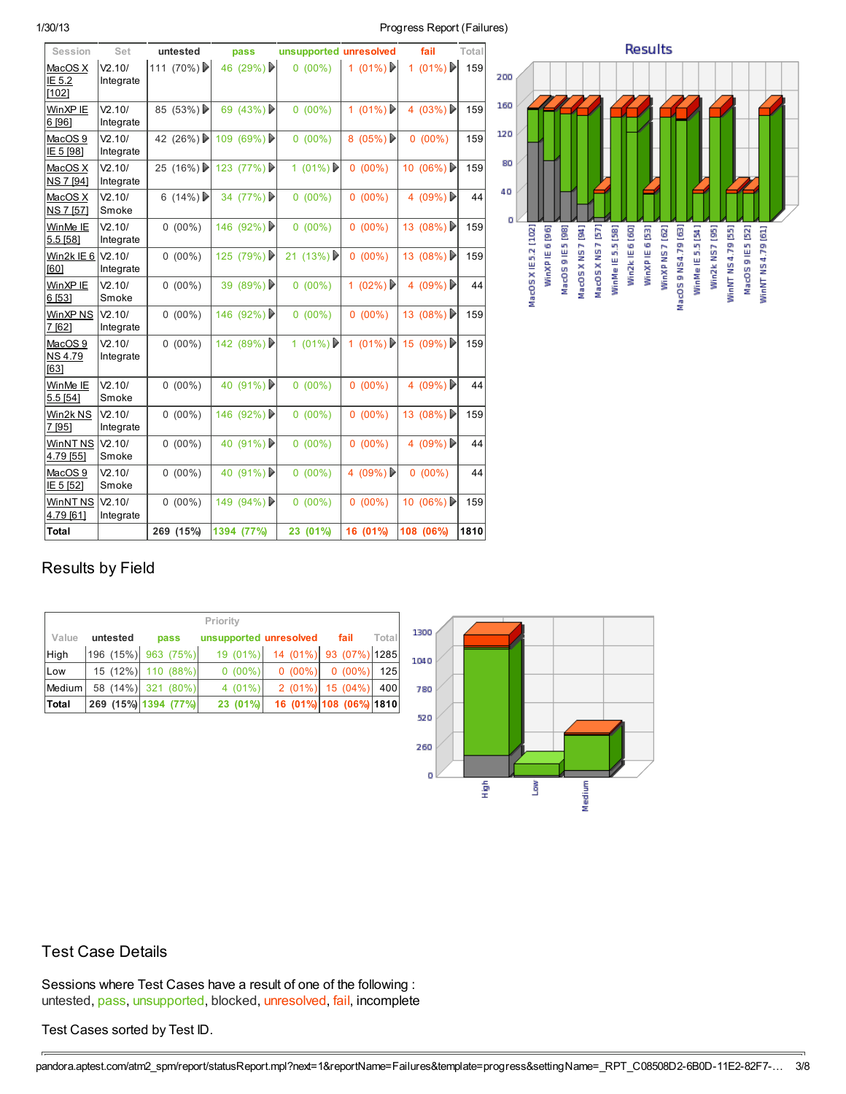## 1/30/13 Progress Report (Failures)

| Session                                     | Set                 | untested    | pass        | unsupported unresolved |            | fail        | Total |
|---------------------------------------------|---------------------|-------------|-------------|------------------------|------------|-------------|-------|
| MacOS X<br>IE 5.2<br>[102]                  | V2.10/<br>Integrate | 111 (70%)   | 46 (29%)    | $0(00\%)$              | 1 $(01\%)$ | 1 $(01\%)$  | 159   |
| WinXP IE<br>6 [96]                          | V2.10/<br>Integrate | 85 $(53%)$  | 69 $(43\%)$ | $0(00\%)$              | 1 $(01\%)$ | 4 $(03\%)$  | 159   |
| MacOS <sub>9</sub><br>IE 5 [98]             | V2.10/<br>Integrate | 42 (26%) ▶  | 109 (69%)   | $0(00\%)$              | 8 $(05\%)$ | $0(00\%)$   | 159   |
| MacOS X<br>NS 7 [94]                        | V2.10/<br>Integrate | 25 $(16\%)$ | 123 $(77%)$ | 1 (01%) ▶              | $0(00\%)$  | 10 $(06\%)$ | 159   |
| MacOS X<br>NS 7 [57]                        | V2.10/<br>Smoke     | 6 $(14\%)$  | 34 $(77%)$  | $0(00\%)$              | $0(00\%)$  | 4 (09%)     | 44    |
| WinMe <sub>IE</sub><br>5.5 [58]             | V2.10/<br>Integrate | $0(00\%)$   | 146 (92%)   | $0(00\%)$              | $0(00\%)$  | 13 $(08\%)$ | 159   |
| Win2k IE 6<br>F601                          | V2.10/<br>Integrate | $0(00\%)$   | 125 $(79%)$ | 21 (13%) ▶             | $0(00\%)$  | 13 $(08\%)$ | 159   |
| WinXP IE<br>6 [53]                          | V2.10/<br>Smoke     | $0(00\%)$   | 39 $(89\%)$ | $0(00\%)$              | 1 $(02\%)$ | 4 $(09\%)$  | 44    |
| WinXP NS<br>7 [62]                          | V2.10/<br>Integrate | $0(00\%)$   | 146 (92%)   | $0(00\%)$              | $0(00\%)$  | 13 $(08\%)$ | 159   |
| MacOS <sub>9</sub><br><b>NS4.79</b><br>F631 | V2.10/<br>Integrate | $0(00\%)$   | 142 (89%)   | 1 $(01\%)$             | 1 $(01\%)$ | 15 (09%)    | 159   |
| WinMe IE<br>5.5 [54]                        | V2.10/<br>Smoke     | $0(00\%)$   | 40 $(91\%)$ | $0(00\%)$              | $0(00\%)$  | 4 $(09\%)$  | 44    |
| Win2k NS<br>7 [95]                          | V2.10/<br>Integrate | $0(00\%)$   | 146 (92%)   | $0(00\%)$              | $0(00\%)$  | 13 $(08\%)$ | 159   |
| WinNT <sub>NS</sub><br>4.79 [55]            | V2.10/<br>Smoke     | $0(00\%)$   | 40 $(91\%)$ | $0(00\%)$              | $0(00\%)$  | 4 $(09\%)$  | 44    |
| MacOS <sub>9</sub><br>IE 5 [52]             | V2.10/<br>Smoke     | $0(00\%)$   | 40 $(91\%)$ | $0(00\%)$              | 4 $(09\%)$ | $0(00\%)$   | 44    |
| WinNT <sub>NS</sub><br>4.79 [61]            | V2.10/<br>Integrate | $0(00\%)$   | 149 (94%)   | $0(00\%)$              | $0(00\%)$  | 10 $(06\%)$ | 159   |
| Total                                       |                     | 269 (15%)   | 1394 (77%)  | 23 (01%)               | 16 (01%)   | 108 (06%)   | 1810  |



# Results by Field

| Priority     |          |                      |                        |                                 |                         |       |  |  |  |
|--------------|----------|----------------------|------------------------|---------------------------------|-------------------------|-------|--|--|--|
| Value        | untested | pass                 | unsupported unresolved |                                 | fail                    | Total |  |  |  |
| High         |          | 196 (15%) 963 (75%)  |                        | 19 (01%) 14 (01%) 93 (07%) 1285 |                         |       |  |  |  |
| Low          | 15(12%)  | 110 (88%)            | $0(00\%)$              | $0(00\%)$                       | $0(00\%)$               | 125   |  |  |  |
| Medium       |          | 58 (14%) 321 (80%)   | $4(01\%)$              | $2(01\%)$                       | 15 (04%)                | 400   |  |  |  |
| <b>Total</b> |          | 269 (15%) 1394 (77%) | 23 (01%)               |                                 | 16 (01%) 108 (06%) 1810 |       |  |  |  |



## Test Case Details

Sessions where Test Cases have a result of one of the following : untested, pass, unsupported, blocked, unresolved, fail, incomplete

## Test Cases sorted by Test ID.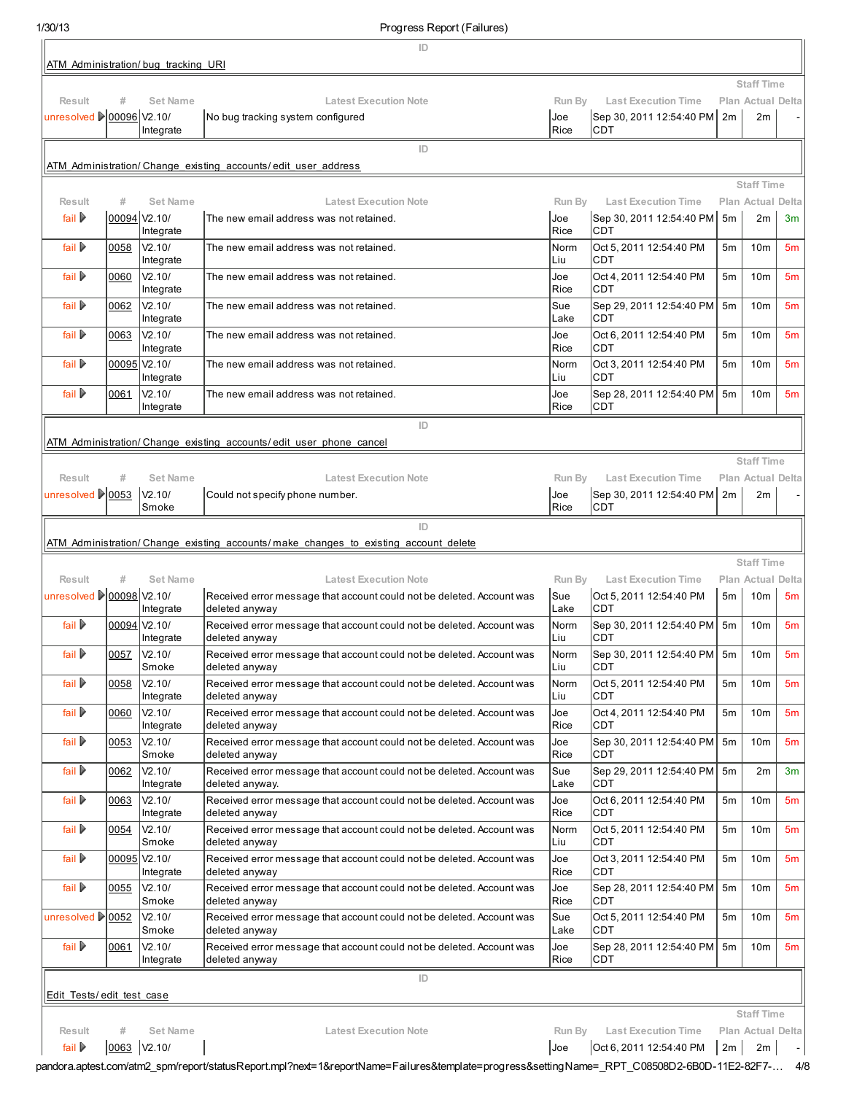1/30/13 Progress Report (Failures)

|                                  |             |                                     | 10.91                                                                                    |              |                                             |                |                                        |                |
|----------------------------------|-------------|-------------------------------------|------------------------------------------------------------------------------------------|--------------|---------------------------------------------|----------------|----------------------------------------|----------------|
|                                  |             | ATM Administration/bug tracking URI | ID                                                                                       |              |                                             |                |                                        |                |
|                                  |             |                                     |                                                                                          |              |                                             |                | <b>Staff Time</b>                      |                |
| Result                           | #           | <b>Set Name</b>                     | <b>Latest Execution Note</b>                                                             | Run By       | <b>Last Execution Time</b>                  |                | Plan Actual Delta                      |                |
| unresolved <u>  00096</u> V2.10/ |             | Integrate                           | No bug tracking system configured                                                        | Joe<br>Rice  | Sep 30, 2011 12:54:40 PM<br><b>CDT</b>      | 2m             | 2m                                     |                |
|                                  |             |                                     | ID                                                                                       |              |                                             |                |                                        |                |
|                                  |             |                                     | ATM Administration/ Change existing accounts/ edit user address                          |              |                                             |                |                                        |                |
| Result                           | #           | <b>Set Name</b>                     | <b>Latest Execution Note</b>                                                             | Run By       | <b>Last Execution Time</b>                  |                | <b>Staff Time</b><br>Plan Actual Delta |                |
| fail $\triangleright$            |             | 00094 V2.10/<br>Integrate           | The new email address was not retained.                                                  | Joe<br>Rice  | Sep 30, 2011 12:54:40 PM<br><b>CDT</b>      | 5m             | 2m                                     | 3m             |
| fail D                           | 0058        | V2.10/<br>Integrate                 | The new email address was not retained.                                                  | Norm<br>Liu  | Oct 5, 2011 12:54:40 PM<br><b>CDT</b>       | 5m             | 10 <sub>m</sub>                        | 5 <sub>m</sub> |
| fail $\triangleright$            | 0060        | V2.10/<br>Integrate                 | The new email address was not retained.                                                  | Joe<br>Rice  | Oct 4, 2011 12:54:40 PM<br><b>CDT</b>       | 5m             | 10 <sub>m</sub>                        | 5 <sub>m</sub> |
| fail D                           | 0062        | V2.10/<br>Integrate                 | The new email address was not retained.                                                  | Sue<br>Lake  | Sep 29, 2011 12:54:40 PM<br><b>CDT</b>      | 5 <sub>m</sub> | 10 <sub>m</sub>                        | 5 <sub>m</sub> |
| fail $\triangleright$            | 0063        | V2.10/<br>Integrate                 | The new email address was not retained.                                                  | Joe<br>Rice  | Oct 6, 2011 12:54:40 PM<br><b>CDT</b>       | 5m             | 10 <sub>m</sub>                        | 5 <sub>m</sub> |
| fail $\triangleright$            |             | 00095 V2.10/<br>Integrate           | The new email address was not retained.                                                  | Norm<br>Liu  | Oct 3, 2011 12:54:40 PM<br><b>CDT</b>       | 5 <sub>m</sub> | 10 <sub>m</sub>                        | 5 <sub>m</sub> |
| fail $\triangleright$            | 0061        | V2.10/<br>Integrate                 | The new email address was not retained.                                                  | Joe<br>Rice  | Sep 28, 2011 12:54:40 PM<br><b>CDT</b>      | 5m             | 10 <sub>m</sub>                        | 5 <sub>m</sub> |
|                                  |             |                                     | ID                                                                                       |              |                                             |                |                                        |                |
|                                  |             |                                     | ATM Administration/Change existing accounts/edit user phone cancel                       |              |                                             |                |                                        |                |
| Result                           | #           | <b>Set Name</b>                     | <b>Latest Execution Note</b>                                                             | Run By       | <b>Last Execution Time</b>                  |                | <b>Staff Time</b><br>Plan Actual Delta |                |
| unresolved 20053                 |             | V2.10/<br>Smoke                     | Could not specify phone number.                                                          | Joe<br>Rice  | Sep 30, 2011 12:54:40 PM 2m<br><b>CDT</b>   |                | 2m                                     |                |
|                                  |             |                                     | ID                                                                                       |              |                                             |                |                                        |                |
|                                  |             |                                     | ATM Administration/Change existing accounts/make changes to existing account delete      |              |                                             |                |                                        |                |
| Result                           | #           | <b>Set Name</b>                     | <b>Latest Execution Note</b>                                                             | Run By       | <b>Last Execution Time</b>                  |                | <b>Staff Time</b><br>Plan Actual Delta |                |
| unresolved 200098 V2.10/         |             |                                     | Received error message that account could not be deleted. Account was                    | Sue          | Oct 5, 2011 12:54:40 PM                     | 5m             | 10m                                    | 5m             |
| fail ▶                           | 00094       | Integrate<br>V <sub>2.10</sub> /    | deleted anyway<br>Received error message that account could not be deleted. Account was  | Lake<br>Norm | <b>CDT</b><br>Sep 30, 2011 12:54:40 PM      | 5m             | 10 <sub>m</sub>                        | 5 <sub>m</sub> |
| fail $\triangleright$            | 0057        | Integrate<br>V2.10/                 | deleted anyway<br>Received error message that account could not be deleted. Account was  | Liu<br>Norm  | <b>CDT</b><br>Sep 30, 2011 12:54:40 PM   5m |                | 10 <sub>m</sub>                        | 5m             |
| fail $\triangleright$            | 0058        | Smoke<br>V2.10/                     | deleted anyway<br>Received error message that account could not be deleted. Account was  | Liu<br>Norm  | <b>CDT</b><br>Oct 5, 2011 12:54:40 PM       | 5m             | 10 <sub>m</sub>                        | 5m             |
| fail $\triangleright$            | 0060        | Integrate<br>V2.10/                 | deleted anyway<br>Received error message that account could not be deleted. Account was  | Liu<br>Joe   | CDT<br>Oct 4, 2011 12:54:40 PM              | 5m             | 10 <sub>m</sub>                        | 5 <sub>m</sub> |
|                                  |             | Integrate                           | deleted anway                                                                            | Rice         | CDT                                         |                |                                        |                |
| fail $\triangleright$            | 0053        | V2.10/<br>Smoke                     | Received error message that account could not be deleted. Account was<br>deleted anyway  | Joe<br>Rice  | Sep 30, 2011 12:54:40 PM<br>CDT             | 5 <sub>m</sub> | 10 <sub>m</sub>                        | 5 <sub>m</sub> |
| fail $\triangleright$            | 0062        | V2.10/<br>Integrate                 | Received error message that account could not be deleted. Account was<br>deleted anyway. | Sue<br>Lake  | Sep 29, 2011 12:54:40 PM<br>CDT             | 5m             | 2m                                     | 3 <sub>m</sub> |
| fail $\triangleright$            | 0063        | V2.10/<br>Integrate                 | Received error message that account could not be deleted. Account was<br>deleted anyway  | Joe<br>Rice  | Oct 6, 2011 12:54:40 PM<br><b>CDT</b>       | 5m             | 10 <sub>m</sub>                        | 5 <sub>m</sub> |
| fail $\triangleright$            | 0054        | V2.10/<br>Smoke                     | Received error message that account could not be deleted. Account was<br>deleted anyway  | Norm<br>Liu  | Oct 5, 2011 12:54:40 PM<br><b>CDT</b>       | 5m             | 10 <sub>m</sub>                        | 5 <sub>m</sub> |
| fail $\triangleright$            |             | 00095 V2.10/<br>Integrate           | Received error message that account could not be deleted. Account was<br>deleted anyway  | Joe<br>Rice  | Oct 3, 2011 12:54:40 PM<br><b>CDT</b>       | 5m             | 10 <sub>m</sub>                        | 5 <sub>m</sub> |
| fail $\triangleright$            | 0055        | V2.10/<br>Smoke                     | Received error message that account could not be deleted. Account was<br>deleted anyway  | Joe<br>Rice  | Sep 28, 2011 12:54:40 PM<br>CDT             | 5m             | 10 <sub>m</sub>                        | 5m             |
| unresolved 20052                 |             | V2.10/<br>Smoke                     | Received error message that account could not be deleted. Account was<br>deleted anyway  | Sue<br>Lake  | Oct 5, 2011 12:54:40 PM<br>CDT              | 5m             | 10 <sub>m</sub>                        | 5 <sub>m</sub> |
| fail $\triangleright$            | 0061        | V2.10/<br>Integrate                 | Received error message that account could not be deleted. Account was<br>deleted anyway  | Joe<br>Rice  | Sep 28, 2011 12:54:40 PM<br>CDT             | 5m             | 10 <sub>m</sub>                        | 5 <sub>m</sub> |
|                                  |             |                                     | ID                                                                                       |              |                                             |                |                                        |                |
| <b>Edit Tests/edit test case</b> |             |                                     |                                                                                          |              |                                             |                | <b>Staff Time</b>                      |                |
| Result                           | #           | <b>Set Name</b>                     | <b>Latest Execution Note</b>                                                             | Run By       | <b>Last Execution Time</b>                  |                | Plan Actual Delta                      |                |
| fail $\triangleright$            | 0063 V2.10/ |                                     |                                                                                          | Joe          | Oct 6, 2011 12:54:40 PM                     | 2m             | 2m                                     |                |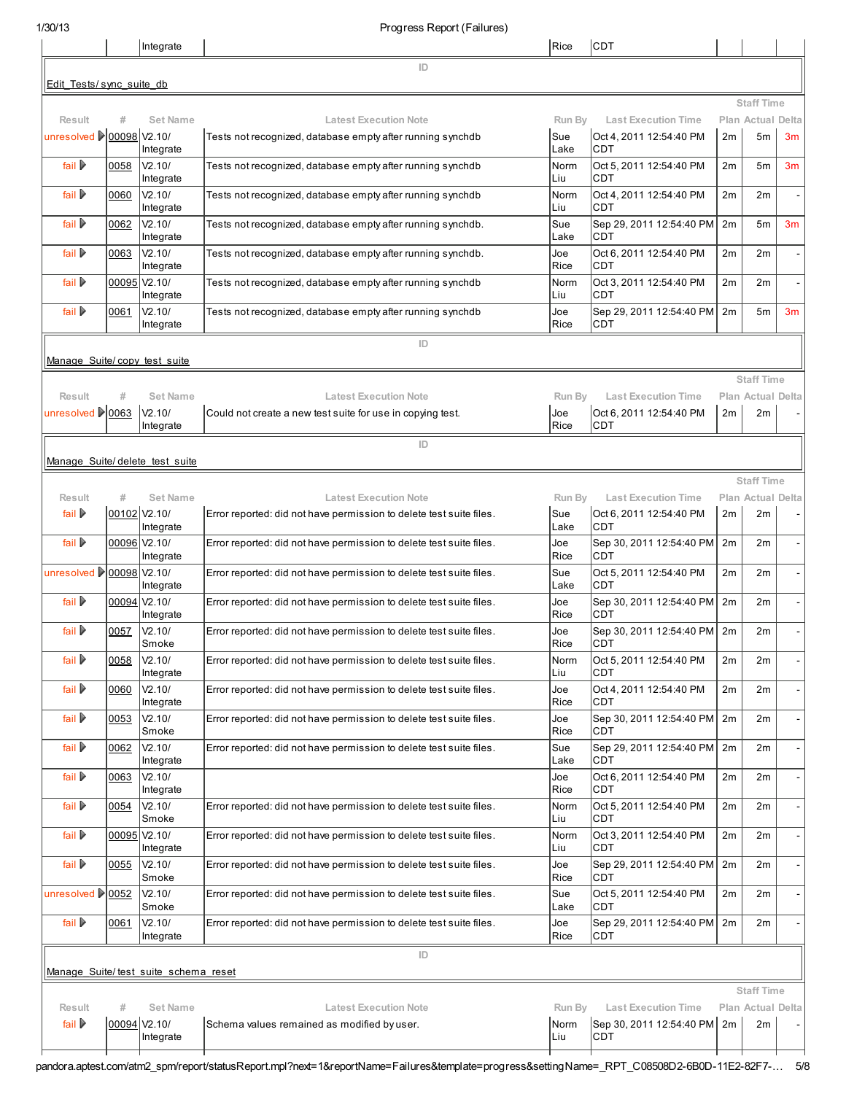|                                                |              | Integrate                            |                                                                                            | Rice               | <b>CDT</b>                                                        |          |                                               |                |
|------------------------------------------------|--------------|--------------------------------------|--------------------------------------------------------------------------------------------|--------------------|-------------------------------------------------------------------|----------|-----------------------------------------------|----------------|
|                                                |              |                                      | ID                                                                                         |                    |                                                                   |          |                                               |                |
| Edit Tests/sync suite db                       |              |                                      |                                                                                            |                    |                                                                   |          |                                               |                |
| Result                                         |              | Set Name                             | <b>Latest Execution Note</b>                                                               | Run By             | <b>Last Execution Time</b>                                        |          | <b>Staff Time</b><br>Plan Actual Delta        |                |
| unresolved <u>200098</u> V2.10/                |              | Integrate                            | Tests not recognized, database empty after running synchdb                                 | Sue<br>Lake        | Oct 4.2011 12:54:40 PM<br><b>CDT</b>                              | 2m       | 5 <sub>m</sub>                                | 3 <sub>m</sub> |
| fail D                                         | 0058         | V2.10/<br>Integrate                  | Tests not recognized, database empty after running synchdb                                 | Norm<br>Liu        | Oct 5, 2011 12:54:40 PM<br><b>CDT</b>                             | 2m       | 5m                                            | 3 <sub>m</sub> |
| fail ▶                                         | 0060         | V2.10/<br>Integrate                  | Tests not recognized, database empty after running synchdb                                 | Norm<br>Liu        | Oct 4, 2011 12:54:40 PM<br><b>CDT</b>                             | 2m       | 2m                                            |                |
| fail D                                         | 0062         | V2.10/<br>Integrate                  | Tests not recognized, database empty after running synchdb.                                | Sue<br>Lake        | Sep 29, 2011 12:54:40 PM<br>ICDT                                  | 2m       | 5m                                            | 3m             |
| fail $\triangleright$                          | 0063         | V2.10/<br>Integrate                  | Tests not recognized, database empty after running synchdb.                                | Joe<br>Rice        | Oct 6, 2011 12:54:40 PM<br><b>CDT</b>                             | 2m       | 2m                                            |                |
| fail $\triangleright$                          |              | 00095 V2.10/<br>Integrate            | Tests not recognized, database empty after running synchdb                                 | Norm<br>Liu        | Oct 3, 2011 12:54:40 PM<br><b>CDT</b>                             | 2m       | 2m                                            |                |
| fail D                                         | 0061         | V2.10/<br>Integrate                  | Tests not recognized, database empty after running synchdb                                 | Joe<br>Rice        | Sep 29, 2011 12:54:40 PM<br><b>CDT</b>                            | 2m       | 5m                                            | 3m             |
| Manage Suite/copy test suite                   |              |                                      | ID                                                                                         |                    |                                                                   |          |                                               |                |
|                                                |              |                                      |                                                                                            |                    |                                                                   |          | <b>Staff Time</b>                             |                |
| Result<br>unresolved 20063                     | #            | <b>Set Name</b><br>V2.10/            | <b>Latest Execution Note</b><br>Could not create a new test suite for use in copying test. | Run By<br>Joe      | <b>Last Execution Time</b><br>Oct 6, 2011 12:54:40 PM             | 2m       | <b>Plan Actual Delta</b><br>2m                |                |
|                                                |              | Integrate                            |                                                                                            | Rice               | ICDT                                                              |          |                                               |                |
|                                                |              |                                      | ID                                                                                         |                    |                                                                   |          |                                               |                |
| Manage Suite/delete test suite                 |              |                                      |                                                                                            |                    |                                                                   |          |                                               |                |
| Result                                         | #            | <b>Set Name</b>                      | <b>Latest Execution Note</b>                                                               | Run By             | <b>Last Execution Time</b>                                        |          | <b>Staff Time</b><br><b>Plan Actual Delta</b> |                |
| fail $\triangleright$                          |              | 00102 V2.10/<br>Integrate            | Error reported: did not have permission to delete test suite files.                        | Sue<br>Lake        | Oct 6, 2011 12:54:40 PM<br>ICDT                                   | 2m       | 2m                                            |                |
| fail D∙                                        |              | 00096 V2.10/<br>Integrate            | Error reported: did not have permission to delete test suite files.                        | Joe<br>Rice        | Sep 30, 2011 12:54:40 PM<br><b>CDT</b>                            | 2m       | 2m                                            |                |
| unresolved   00098 \V2.10/                     |              | Integrate                            | Error reported: did not have permission to delete test suite files.                        | Sue<br>Lake        | Oct 5, 2011 12:54:40 PM<br><b>CDT</b>                             | 2m       | 2m                                            |                |
| fail ▶                                         |              | 00094 V2.10/<br>Integrate            | Error reported: did not have permission to delete test suite files.                        | Joe<br>Rice        | Sep 30, 2011 12:54:40 PM<br><b>CDT</b>                            | 2m       | 2m                                            |                |
| fail D                                         | 0057         | V2.10/<br>Smoke                      | Error reported: did not have permission to delete test suite files.                        | Joe<br>Rice        | Sep 30, 2011 12:54:40 PM<br><b>CDT</b>                            | 2m       | 2m                                            |                |
| fail D                                         | 0058         | V2.10/<br>Integrate                  | Error reported: did not have permission to delete test suite files.                        | Norm<br> Liu       | Oct 5, 2011 12:54:40 PM<br><b>CDT</b>                             | 2m       | 2m                                            |                |
| fail $\triangleright$                          | 0060         | V2.10/<br>Integrate                  | Error reported: did not have permission to delete test suite files.                        | Joe<br>Rice        | Oct 4, 2011 12:54:40 PM<br><b>CDT</b>                             | 2m       | 2m                                            |                |
| fail $\triangleright$<br>fail $\triangleright$ | 0053         | V2.10/<br>Smoke<br>V2.10/            | Error reported: did not have permission to delete test suite files.                        | Joe<br>Rice        | Sep 30, 2011 12:54:40 PM<br><b>CDT</b>                            | 2m       | 2m                                            |                |
| fail $\triangleright$                          | 0062<br>0063 | Integrate<br>V2.10/                  | Error reported: did not have permission to delete test suite files.                        | Sue<br>Lake<br>Joe | Sep 29, 2011 12:54:40 PM<br><b>CDT</b><br>Oct 6, 2011 12:54:40 PM | 2m<br>2m | 2m<br>2m                                      |                |
| fail $\triangleright$                          | 0054         | Integrate<br>V2.10/                  | Error reported: did not have permission to delete test suite files.                        | Rice<br>Norm       | CDT<br>Oct 5, 2011 12:54:40 PM                                    | 2m       | 2m                                            |                |
| fail $\triangleright$                          | 00095        | Smoke<br>V2.10/                      | Error reported: did not have permission to delete test suite files.                        | Liu<br>Norm        | <b>CDT</b><br>Oct 3, 2011 12:54:40 PM                             | 2m       | 2m                                            |                |
| fail $\triangleright$                          | 0055         | Integrate<br>V2.10/                  | Error reported: did not have permission to delete test suite files.                        | Liu<br>Joe         | <b>CDT</b><br>Sep 29, 2011 12:54:40 PM                            | 2m       | 2m                                            |                |
| unresolved 20052                               |              | Smoke<br>V2.10/                      | Error reported: did not have permission to delete test suite files.                        | Rice<br>Sue        | <b>CDT</b><br>Oct 5, 2011 12:54:40 PM                             | 2m       | 2m                                            |                |
| fail $\triangleright$                          | 0061         | Smoke<br>V2.10/                      | Error reported: did not have permission to delete test suite files.                        | Lake<br>Joe        | CDT<br>Sep 29, 2011 12:54:40 PM                                   | 2m       | 2m                                            |                |
|                                                |              | Integrate                            | ID                                                                                         | Rice               | CDT                                                               |          |                                               |                |
|                                                |              | Manage Suite/test suite schema reset |                                                                                            |                    |                                                                   |          |                                               |                |
|                                                |              |                                      |                                                                                            |                    |                                                                   |          | <b>Staff Time</b>                             |                |
| Result<br>fail $\triangleright$                | #            | <b>Set Name</b><br>00094 V2.10/      | <b>Latest Execution Note</b><br>Schema values remained as modified by user.                | Run By<br>Norm     | <b>Last Execution Time</b><br>Sep 30, 2011 12:54:40 PM            | 2m       | Plan Actual Delta<br>2m                       |                |
|                                                |              | Integrate                            |                                                                                            | Liu                | <b>CDT</b>                                                        |          |                                               |                |

pandora.aptest.com/atm2\_spm/report/statusReport.mpl?next=1&reportName=Failures&template=progress&settingName=\_RPT\_C08508D2-6B0D-11E2-82F7-… 5/8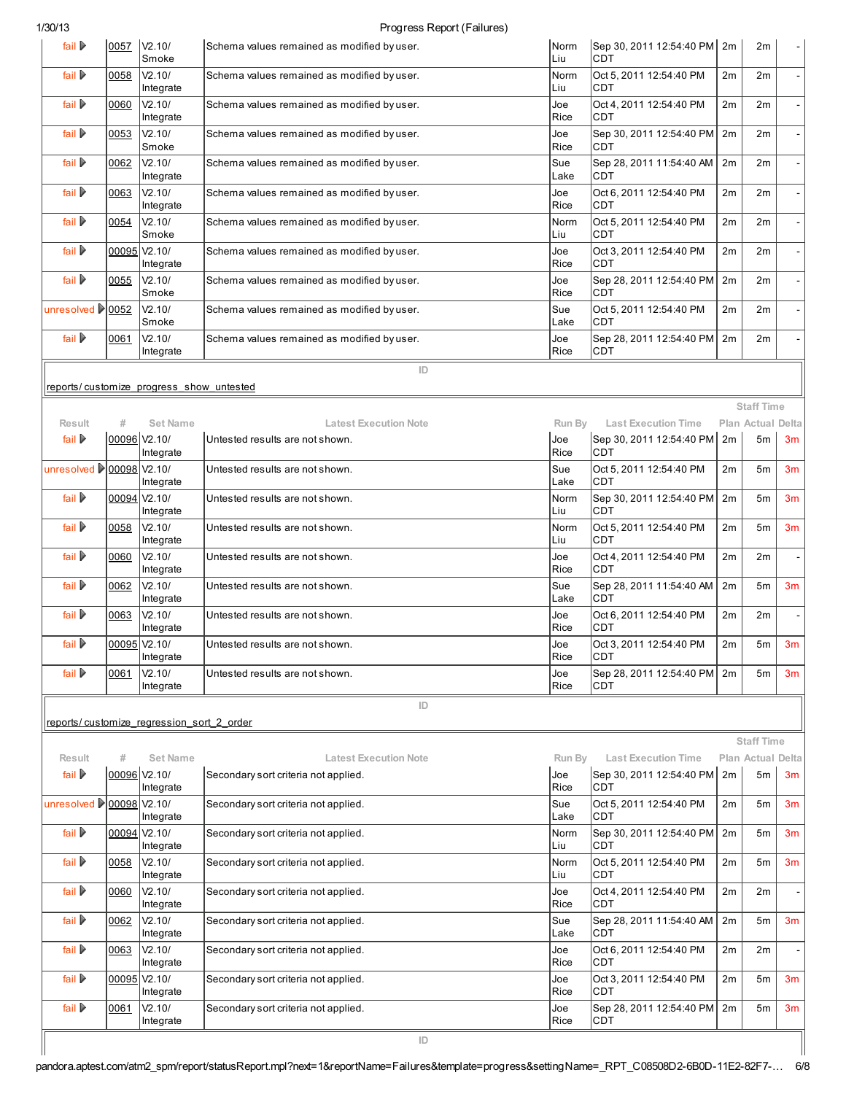## 1/30/13 Progress Report (Failures)

| fail ▶                                 | 0057         | V <sub>2.10</sub> /<br>Smoke              | Schema values remained as modified by user. | Norm<br>Liu  | Sep 30, 2011 12:54:40 PM<br><b>CDT</b> | 2m | 2m                |                |
|----------------------------------------|--------------|-------------------------------------------|---------------------------------------------|--------------|----------------------------------------|----|-------------------|----------------|
| fail $\triangleright$                  | 0058         | V2.10/<br>Integrate                       | Schema values remained as modified by user. | Norm<br>Liu  | Oct 5, 2011 12:54:40 PM<br><b>CDT</b>  | 2m | 2m                |                |
| fail $\triangleright$                  | 0060         | V <sub>2.10</sub> /<br>Integrate          | Schema values remained as modified by user. | Joe<br>Rice  | Oct 4.2011 12:54:40 PM<br><b>CDT</b>   | 2m | 2m                |                |
| fail $\triangleright$                  | 0053         | V2.10/<br>Smoke                           | Schema values remained as modified by user. | Joe<br>Rice  | Sep 30, 2011 12:54:40 PM<br><b>CDT</b> | 2m | 2m                |                |
| fail $\triangleright$                  | 0062         | V2.10/<br>Integrate                       | Schema values remained as modified by user. | Sue<br>Lake  | Sep 28, 2011 11:54:40 AM<br><b>CDT</b> | 2m | 2m                |                |
| fail $\triangleright$                  | 0063         | V2.10/<br>Integrate                       | Schema values remained as modified by user. | Joe<br>Rice  | Oct 6, 2011 12:54:40 PM<br><b>CDT</b>  | 2m | 2m                |                |
| fail $\triangleright$                  | 0054         | V2.10/<br>Smoke                           | Schema values remained as modified by user. | Norm<br>Liu  | Oct 5, 2011 12:54:40 PM<br><b>CDT</b>  | 2m | 2m                |                |
| fail $\triangleright$                  | 00095 V2.10/ | Integrate                                 | Schema values remained as modified by user. | Joe<br>Rice  | Oct 3, 2011 12:54:40 PM<br><b>CDT</b>  | 2m | 2m                |                |
| fail $\triangleright$                  | 0055         | V2.10/<br>Smoke                           | Schema values remained as modified by user. | Joe<br>Rice  | Sep 28, 2011 12:54:40 PM<br><b>CDT</b> | 2m | 2m                |                |
| unresolved $\blacktriangleright$ 10052 |              | V2.10/<br>Smoke                           | Schema values remained as modified by user. | Sue<br>Lake  | Oct 5, 2011 12:54:40 PM<br><b>CDT</b>  | 2m | 2m                |                |
| fail $\triangleright$                  | 0061         | V2.10/<br>Integrate                       | Schema values remained as modified by user. | Joe<br>Rice  | Sep 28, 2011 12:54:40 PM<br>CDT        | 2m | 2m                |                |
|                                        |              | reports/customize progress show untested  | ID                                          |              |                                        |    |                   |                |
|                                        |              |                                           |                                             |              |                                        |    | <b>Staff Time</b> |                |
| <b>Result</b>                          | #            | <b>Set Name</b>                           | <b>Latest Execution Note</b>                | Run By       | <b>Last Execution Time</b>             |    | Plan Actual Delta |                |
| fail $\triangleright$                  | 00096 V2.10/ | Integrate                                 | Untested results are not shown.             | Joe<br>Rice  | Sep 30, 2011 12:54:40 PM<br><b>CDT</b> | 2m | 5m                | 3m             |
|                                        | 00098 V2.10/ | Integrate                                 | Untested results are not shown.             | Sue<br>Lake  | Oct 5, 2011 12:54:40 PM<br><b>CDT</b>  | 2m | 5 <sub>m</sub>    | 3m             |
| fail $\triangleright$                  | 00094 V2.10/ | Integrate                                 | Untested results are not shown.             | Norm<br>Liu  | Sep 30, 2011 12:54:40 PM<br><b>CDT</b> | 2m | 5 <sub>m</sub>    | 3 <sub>m</sub> |
| fail $\triangleright$                  | 0058         | V <sub>2.10</sub> /<br>Integrate          | Untested results are not shown.             | Norm<br>Liu  | Oct 5, 2011 12:54:40 PM<br><b>CDT</b>  | 2m | 5 <sub>m</sub>    | 3m             |
| fail $\triangleright$                  | 0060         | V2.10/<br>Integrate                       | Untested results are not shown.             | Joe<br>Rice  | Oct 4, 2011 12:54:40 PM<br><b>CDT</b>  | 2m | 2m                |                |
| fail $\triangleright$                  | 0062         | V2.10/<br>Integrate                       | Untested results are not shown.             | Sue<br>Lake  | Sep 28, 2011 11:54:40 AM<br><b>CDT</b> | 2m | 5 <sub>m</sub>    | 3 <sub>m</sub> |
| fail $\triangleright$                  | 0063         | V2.10/<br>Integrate                       | Untested results are not shown.             | Joe<br>Rice  | Oct 6. 2011 12:54:40 PM<br><b>CDT</b>  | 2m | 2m                |                |
| fail $\triangleright$                  | 00095 V2.10/ | Integrate                                 | Untested results are not shown.             | Joe<br>Rice  | Oct 3, 2011 12:54:40 PM<br>CDT         | 2m | 5m                | 3m             |
| fail $\triangleright$                  | 0061         | V2.10/<br>Integrate                       | Untested results are not shown.             | Joe<br>Rice  | Sep 28, 2011 12:54:40 PM<br><b>CDT</b> | 2m | 5 <sub>m</sub>    | 3m             |
|                                        |              |                                           | ID                                          |              |                                        |    |                   |                |
|                                        |              | reports/customize regression sort 2 order |                                             |              |                                        |    | <b>Staff Time</b> |                |
| <b>Result</b>                          | #            | <b>Set Name</b>                           | <b>Latest Execution Note</b>                | Run By       | <b>Last Execution Time</b>             |    | Plan Actual Delta |                |
| fail $\triangleright$                  | 00096 V2.10/ | Integrate                                 | Secondary sort criteria not applied.        | Joe<br>Rice  | Sep 30, 2011 12:54:40 PM<br><b>CDT</b> | 2m | 5 <sub>m</sub>    | 3m             |
| unresolved ▶ 00098 V2.10/              |              | Integrate                                 | Secondary sort criteria not applied.        | Sue<br>Lake  | Oct 5, 2011 12:54:40 PM<br><b>CDT</b>  | 2m | 5 <sub>m</sub>    | 3 <sub>m</sub> |
| fail $\triangleright$                  |              | 00094 V2.10/<br>Integrate                 | Secondary sort criteria not applied.        | Norm<br>Liu  | Sep 30, 2011 12:54:40 PM<br><b>CDT</b> | 2m | 5 <sub>m</sub>    | 3 <sub>m</sub> |
| fail $\triangleright$                  | 0058         | V2.10/<br>Integrate                       | Secondary sort criteria not applied.        | Norm<br>Liu  | Oct 5, 2011 12:54:40 PM<br><b>CDT</b>  | 2m | 5 <sub>m</sub>    | 3m             |
| fail $\triangleright$                  | 0060         | V2.10/<br>Integrate                       | Secondary sort criteria not applied.        | Joe<br>Rice  | Oct 4, 2011 12:54:40 PM<br>CDT         | 2m | 2m                |                |
| fail $\triangleright$                  | 0062         | V2.10/<br>Integrate                       | Secondary sort criteria not applied.        | Sue<br>Lake  | Sep 28, 2011 11:54:40 AM<br>CDT        | 2m | 5 <sub>m</sub>    | 3m             |
| fail $\triangleright$                  | 0063         | V2.10/<br>Integrate                       | Secondary sort criteria not applied.        | Joe<br>Rice  | Oct 6, 2011 12:54:40 PM<br><b>CDT</b>  | 2m | 2m                |                |
| fail $\triangleright$                  | 00095 V2.10/ | Integrate                                 | Secondary sort criteria not applied.        | Joe<br>Rice  | Oct 3, 2011 12:54:40 PM<br>CDT         | 2m | 5 <sub>m</sub>    | 3 <sub>m</sub> |
| fail $\triangleright$                  | 0061         | V2.10/<br>Integrate                       | Secondary sort criteria not applied.        | Joe<br> Rice | Sep 28, 2011 12:54:40 PM<br>CDT        | 2m | 5m                | 3 <sub>m</sub> |
|                                        |              |                                           | ID                                          |              |                                        |    |                   |                |

I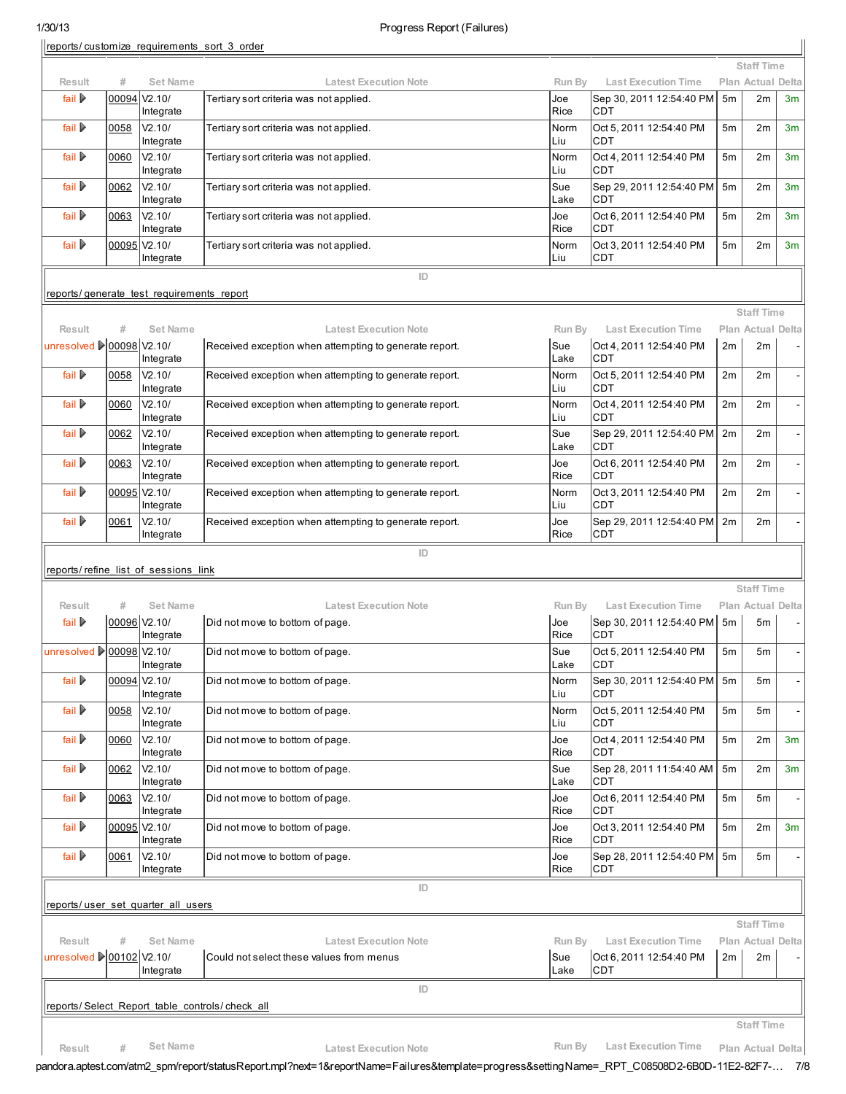reports/ [customize\\_requirements\\_sort\\_3\\_order](http://pandora.aptest.com/atm2_spm/browse/viewTestCase.mpl?atm_id=AC8DEA72-955D-11D8-A214-90E5C9F5B464&suite=ApTest_Manager_Sample)

|                                     |              | reports/customize requirements sort 3 order |                                                                                        |               |                                                        |                |                                        |    |
|-------------------------------------|--------------|---------------------------------------------|----------------------------------------------------------------------------------------|---------------|--------------------------------------------------------|----------------|----------------------------------------|----|
|                                     |              |                                             |                                                                                        |               |                                                        |                | <b>Staff Time</b>                      |    |
| Result<br>fail $\triangleright$     | #<br>00094   | <b>Set Name</b><br>V2.10/                   | <b>Latest Execution Note</b><br>Tertiary sort criteria was not applied.                | Run By<br>Joe | <b>Last Execution Time</b><br>Sep 30, 2011 12:54:40 PM | 5 <sub>m</sub> | Plan Actual Delta<br>2m                | 3m |
| fail $\triangleright$               | 0058         | Integrate<br>V2.10/                         | Tertiary sort criteria was not applied.                                                | Rice<br>Norm  | <b>CDT</b><br>Oct 5, 2011 12:54:40 PM                  | 5 <sub>m</sub> | 2m                                     | 3m |
| fail $\triangleright$               | 0060         | Integrate<br>V2.10/                         | Tertiary sort criteria was not applied.                                                | Liu<br>Norm   | <b>CDT</b><br>Oct 4, 2011 12:54:40 PM                  | 5 <sub>m</sub> | 2m                                     | 3m |
|                                     |              | Integrate                                   |                                                                                        | Liu           | <b>CDT</b>                                             |                |                                        |    |
| fail $\triangleright$               | 0062         | V2.10/<br>Integrate                         | Tertiary sort criteria was not applied.                                                | Sue<br>Lake   | Sep 29, 2011 12:54:40 PM<br>CDT                        | 5 <sub>m</sub> | 2m                                     | 3m |
| fail $\triangleright$               | 0063         | V2.10/<br>Integrate                         | Tertiary sort criteria was not applied.                                                | Joe<br>Rice   | Oct 6, 2011 12:54:40 PM<br>CDT                         | 5 <sub>m</sub> | 2m                                     | 3m |
| fail $\triangleright$               | 00095 V2.10/ | Integrate                                   | Tertiary sort criteria was not applied.                                                | Norm<br>Liu   | Oct 3, 2011 12:54:40 PM<br><b>CDT</b>                  | 5 <sub>m</sub> | 2m                                     | 3m |
|                                     |              |                                             | ID                                                                                     |               |                                                        |                |                                        |    |
|                                     |              | reports/generate test requirements report   |                                                                                        |               |                                                        |                |                                        |    |
|                                     |              |                                             |                                                                                        |               |                                                        |                | <b>Staff Time</b>                      |    |
| Result<br>unresolved 200098 \/2.10/ | #            | <b>Set Name</b>                             | <b>Latest Execution Note</b><br>Received exception when attempting to generate report. | Run By<br>Sue | <b>Last Execution Time</b><br>Oct 4, 2011 12:54:40 PM  | 2m             | Plan Actual Delta<br>2m                |    |
|                                     |              | Integrate                                   |                                                                                        | Lake          | <b>CDT</b>                                             |                |                                        |    |
| fail $\triangleright$               | 0058         | V2.10/<br>Integrate                         | Received exception when attempting to generate report.                                 | Norm<br>Liu   | Oct 5, 2011 12:54:40 PM<br><b>CDT</b>                  | 2m             | 2m                                     |    |
| fail $\triangleright$               | 0060         | V2.10/<br>Integrate                         | Received exception when attempting to generate report.                                 | Norm<br>Liu   | Oct 4, 2011 12:54:40 PM<br><b>CDT</b>                  | 2m             | 2m                                     |    |
| fail $\triangleright$               | 0062         | V2.10/<br>Integrate                         | Received exception when attempting to generate report.                                 | Sue<br>Lake   | Sep 29, 2011 12:54:40 PM<br><b>CDT</b>                 | 2m             | 2m                                     |    |
| fail $\triangleright$               | 0063         | V2.10/<br>Integrate                         | Received exception when attempting to generate report.                                 | Joe<br>Rice   | Oct 6, 2011 12:54:40 PM<br>CDT                         | 2m             | 2m                                     |    |
| fail $\triangleright$               | 00095 V2.10/ | Integrate                                   | Received exception when attempting to generate report.                                 | Norm<br>Liu   | Oct 3, 2011 12:54:40 PM<br><b>CDT</b>                  | 2m             | 2m                                     |    |
| fail $\triangleright$               | 0061         | V2.10/<br>Integrate                         | Received exception when attempting to generate report.                                 | Joe<br>Rice   | Sep 29, 2011 12:54:40 PM<br><b>CDT</b>                 | 2m             | 2m                                     |    |
|                                     |              |                                             | ID                                                                                     |               |                                                        |                |                                        |    |
|                                     |              | reports/refine list of sessions link        |                                                                                        |               |                                                        |                |                                        |    |
| <b>Result</b>                       | #            | Set Name                                    | <b>Latest Execution Note</b>                                                           | Run By        | <b>Last Execution Time</b>                             |                | <b>Staff Time</b><br>Plan Actual Delta |    |
| fail $\triangleright$               | 00096 V2.10/ | Integrate                                   | Did not move to bottom of page.                                                        | Joe<br>Rice   | Sep 30, 2011 12:54:40 PM<br>CDT                        | 5 <sub>m</sub> | 5m                                     |    |
| unresolved 200098 \V2.10/           |              | Integrate                                   | Did not move to bottom of page.                                                        | Sue<br>Lake   | Oct 5, 2011 12:54:40 PM<br><b>CDT</b>                  | 5 <sub>m</sub> | 5m                                     |    |
| fail $\triangleright$               | 00094 V2.10/ | Integrate                                   | Did not move to bottom of page.                                                        | Norm<br>Liu   | Sep 30, 2011 12:54:40 PM<br><b>CDT</b>                 | 5m             | 5m                                     |    |
| fail $\triangleright$               | 0058         | V2.10/<br>Integrate                         | Did not move to bottom of page.                                                        | Norm<br>Liu   | Oct 5, 2011 12:54:40 PM<br><b>CDT</b>                  | 5 <sub>m</sub> | 5m                                     |    |
| fail $\triangleright$               | 0060         | V2.10/<br>Integrate                         | Did not move to bottom of page.                                                        | Joe<br>Rice   | Oct 4, 2011 12:54:40 PM<br><b>CDT</b>                  | 5 <sub>m</sub> | 2m                                     | 3m |
| fail $\triangleright$               | 0062         | V2.10/<br>Integrate                         | Did not move to bottom of page.                                                        | Sue<br>Lake   | Sep 28, 2011 11:54:40 AM<br><b>CDT</b>                 | 5 <sub>m</sub> | 2m                                     | 3m |
| fail $\triangleright$               | 0063         | V2.10/<br>Integrate                         | Did not move to bottom of page.                                                        | Joe<br>Rice   | Oct 6, 2011 12:54:40 PM<br><b>CDT</b>                  | 5m             | 5m                                     |    |
| fail $\triangleright$               | 00095 V2.10/ | Integrate                                   | Did not move to bottom of page.                                                        | Joe<br>Rice   | Oct 3, 2011 12:54:40 PM<br>CDT                         | 5 <sub>m</sub> | 2m                                     | 3m |
| fail $\triangleright$               | 0061         | V2.10/<br>Integrate                         | Did not move to bottom of page.                                                        | Joe<br>Rice   | Sep 28, 2011 12:54:40 PM<br><b>CDT</b>                 | 5 <sub>m</sub> | 5m                                     |    |
|                                     |              |                                             | ID                                                                                     |               |                                                        |                |                                        |    |
|                                     |              | reports/user set quarter all users          |                                                                                        |               |                                                        |                |                                        |    |
|                                     |              |                                             |                                                                                        |               |                                                        |                | <b>Staff Time</b>                      |    |
| Result<br>unresolved 200102 V2.10/  | #            | <b>Set Name</b>                             | <b>Latest Execution Note</b><br>Could not select these values from menus               | Run By<br>Sue | <b>Last Execution Time</b><br>Oct 6, 2011 12:54:40 PM  | 2m             | Plan Actual Delta<br>2m                |    |
|                                     |              | Integrate                                   |                                                                                        | Lake          | <b>CDT</b>                                             |                |                                        |    |
|                                     |              |                                             | ID                                                                                     |               |                                                        |                |                                        |    |
|                                     |              |                                             | reports/Select Report table controls/check all                                         |               |                                                        |                | <b>Staff Time</b>                      |    |
|                                     | $\#$         | <b>Set Name</b>                             | <b>Latest Execution Note</b>                                                           | Run By        | <b>Last Execution Time</b>                             |                |                                        |    |
| Result                              |              |                                             |                                                                                        |               |                                                        |                | Plan Actual Delta                      |    |

pandora.aptest.com/atm2\_spm/report/statusReport.mpl?next=1&reportName=Failures&template=progress&settingName=\_RPT\_C08508D2-6B0D-11E2-82F7-… 7/8